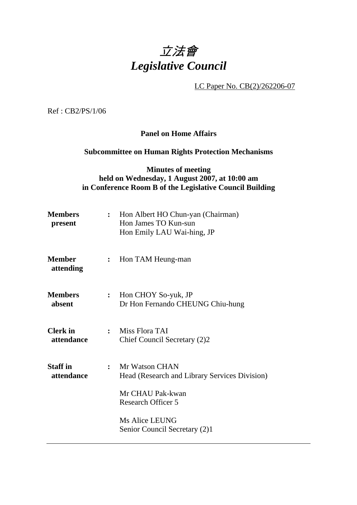

LC Paper No. CB(2)/262206-07

Ref : CB2/PS/1/06

#### **Panel on Home Affairs**

### **Subcommittee on Human Rights Protection Mechanisms**

### **Minutes of meeting held on Wednesday, 1 August 2007, at 10:00 am in Conference Room B of the Legislative Council Building**

| <b>Members</b><br>present     |                              | : Hon Albert HO Chun-yan (Chairman)<br>Hon James TO Kun-sun<br>Hon Emily LAU Wai-hing, JP |  |
|-------------------------------|------------------------------|-------------------------------------------------------------------------------------------|--|
| <b>Member</b><br>attending    | $\ddot{\cdot}$               | Hon TAM Heung-man                                                                         |  |
| <b>Members</b><br>absent      | $\overset{\bullet}{\bullet}$ | Hon CHOY So-yuk, JP<br>Dr Hon Fernando CHEUNG Chiu-hung                                   |  |
| <b>Clerk</b> in<br>attendance | $\ddot{\cdot}$               | Miss Flora TAI<br>Chief Council Secretary (2)2                                            |  |
| <b>Staff</b> in<br>attendance | $\ddot{\cdot}$               | Mr Watson CHAN<br>Head (Research and Library Services Division)                           |  |
|                               |                              | Mr CHAU Pak-kwan<br><b>Research Officer 5</b>                                             |  |
|                               |                              | <b>Ms Alice LEUNG</b><br>Senior Council Secretary (2)1                                    |  |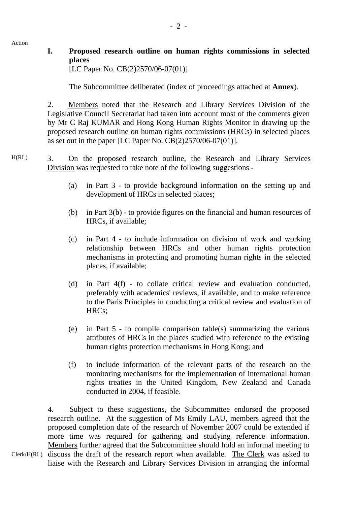Action

# **I. Proposed research outline on human rights commissions in selected places**

[LC Paper No. CB(2)2570/06-07(01)]

The Subcommittee deliberated (index of proceedings attached at **Annex**).

2. Members noted that the Research and Library Services Division of the Legislative Council Secretariat had taken into account most of the comments given by Mr C Raj KUMAR and Hong Kong Human Rights Monitor in drawing up the proposed research outline on human rights commissions (HRCs) in selected places as set out in the paper [LC Paper No.  $CB(2)2570/06-07(01)$ ].

### H(RL) 3. On the proposed research outline, the Research and Library Services Division was requested to take note of the following suggestions -

- (a) in Part 3 to provide background information on the setting up and development of HRCs in selected places;
- (b) in Part 3(b) to provide figures on the financial and human resources of HRCs, if available;
- (c) in Part 4 to include information on division of work and working relationship between HRCs and other human rights protection mechanisms in protecting and promoting human rights in the selected places, if available;
- (d) in Part 4(f) to collate critical review and evaluation conducted, preferably with academics' reviews, if available, and to make reference to the Paris Principles in conducting a critical review and evaluation of HRCs;
- (e) in Part 5 to compile comparison table(s) summarizing the various attributes of HRCs in the places studied with reference to the existing human rights protection mechanisms in Hong Kong; and
- (f) to include information of the relevant parts of the research on the monitoring mechanisms for the implementation of international human rights treaties in the United Kingdom, New Zealand and Canada conducted in 2004, if feasible.

Clerk/H(RL) discuss the draft of the research report when available. The Clerk was asked to 4. Subject to these suggestions, the Subcommittee endorsed the proposed research outline. At the suggestion of Ms Emily LAU, members agreed that the proposed completion date of the research of November 2007 could be extended if more time was required for gathering and studying reference information. Members further agreed that the Subcommittee should hold an informal meeting to liaise with the Research and Library Services Division in arranging the informal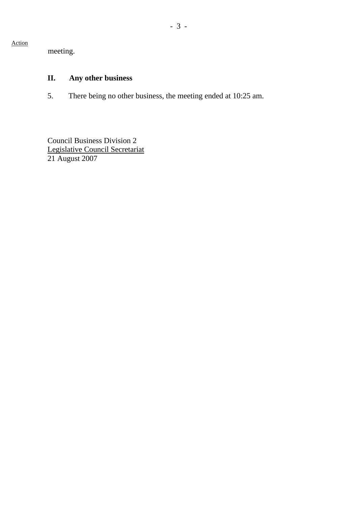Action

meeting.

## **II. Any other business**

5. There being no other business, the meeting ended at 10:25 am.

Council Business Division 2 Legislative Council Secretariat 21 August 2007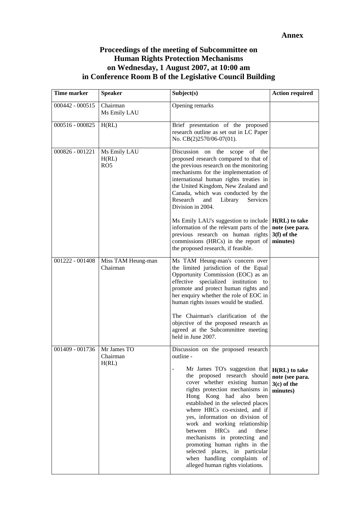### **Proceedings of the meeting of Subcommittee on Human Rights Protection Mechanisms on Wednesday, 1 August 2007, at 10:00 am in Conference Room B of the Legislative Council Building**

| Time marker       | <b>Speaker</b>                           | Subject(s)                                                                                                                                                                                                                                                                                                                                                                                                                                                                                                                                                          | <b>Action required</b>                                          |
|-------------------|------------------------------------------|---------------------------------------------------------------------------------------------------------------------------------------------------------------------------------------------------------------------------------------------------------------------------------------------------------------------------------------------------------------------------------------------------------------------------------------------------------------------------------------------------------------------------------------------------------------------|-----------------------------------------------------------------|
| $000442 - 000515$ | Chairman<br>Ms Emily LAU                 | Opening remarks                                                                                                                                                                                                                                                                                                                                                                                                                                                                                                                                                     |                                                                 |
| 000516 - 000825   | H(RL)                                    | Brief presentation of the proposed<br>research outline as set out in LC Paper<br>No. CB(2)2570/06-07(01).                                                                                                                                                                                                                                                                                                                                                                                                                                                           |                                                                 |
| 000826 - 001221   | Ms Emily LAU<br>H(RL)<br>RO <sub>5</sub> | Discussion on the scope of the<br>proposed research compared to that of<br>the previous research on the monitoring<br>mechanisms for the implementation of<br>international human rights treaties in<br>the United Kingdom, New Zealand and<br>Canada, which was conducted by the<br>Research<br>and<br>Library<br>Services<br>Division in 2004.                                                                                                                                                                                                                    |                                                                 |
|                   |                                          | Ms Emily LAU's suggestion to include $\vert H(RL) \vert$ to take<br>information of the relevant parts of the<br>previous research on human rights<br>commissions (HRCs) in the report of<br>the proposed research, if feasible.                                                                                                                                                                                                                                                                                                                                     | note (see para.<br>$3(f)$ of the<br>minutes)                    |
| 001222 - 001408   | Miss TAM Heung-man<br>Chairman           | Ms TAM Heung-man's concern over<br>the limited jurisdiction of the Equal<br>Opportunity Commission (EOC) as an<br>effective specialized institution to<br>promote and protect human rights and<br>her enquiry whether the role of EOC in<br>human rights issues would be studied.<br>The Chairman's clarification of the<br>objective of the proposed research as<br>agreed at the Subcommittee meeting<br>held in June 2007.                                                                                                                                       |                                                                 |
| 001409 - 001736   | Mr James TO<br>Chairman<br>H(RL)         | Discussion on the proposed research<br>outline -<br>Mr James TO's suggestion that<br>the proposed research should<br>cover whether existing human<br>rights protection mechanisms in<br>Hong Kong had also been<br>established in the selected places<br>where HRCs co-existed, and if<br>yes, information on division of<br>work and working relationship<br>between<br>HRCs<br>and<br>these<br>mechanisms in protecting and<br>promoting human rights in the<br>selected places, in particular<br>when handling complaints of<br>alleged human rights violations. | $H(RL)$ to take<br>note (see para.<br>$3(c)$ of the<br>minutes) |